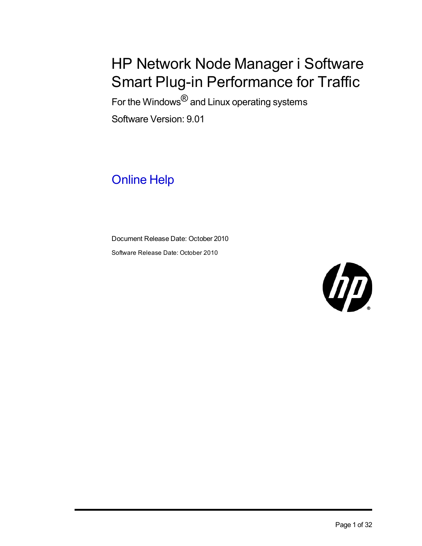# HP Network Node Manager i Software Smart Plug-in Performance for Traffic

For the Windows<sup>®</sup> and Linux operating systems Software Version: 9.01

## Online Help

Document Release Date: October 2010 Software Release Date: October 2010

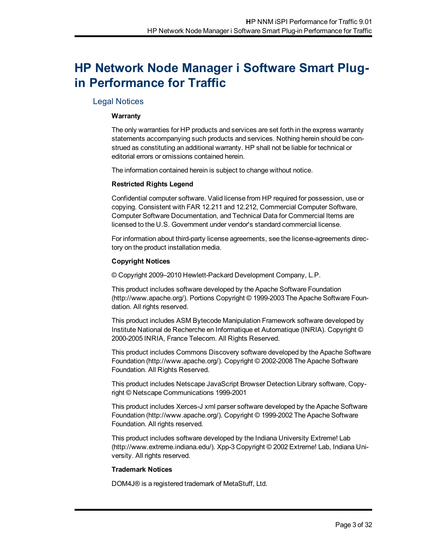## <span id="page-2-0"></span>**HP Network Node Manager i Software Smart Plugin Performance for Traffic**

## <span id="page-2-1"></span>Legal Notices

## **Warranty**

The only warranties for HP products and services are set forth in the express warranty statements accompanying such products and services. Nothing herein should be construed as constituting an additional warranty. HP shall not be liable for technical or editorial errors or omissions contained herein.

The information contained herein is subject to change without notice.

## **Restricted Rights Legend**

Confidential computer software. Valid license from HP required for possession, use or copying. Consistent with FAR 12.211 and 12.212, Commercial Computer Software, Computer Software Documentation, and Technical Data for Commercial Items are licensed to the U.S. Government under vendor's standard commercial license.

For information about third-party license agreements, see the license-agreements directory on the product installation media.

## **Copyright Notices**

© Copyright 2009–2010 Hewlett-Packard Development Company, L.P.

This product includes software developed by the Apache Software Foundation (http://www.apache.org/). Portions Copyright © 1999-2003 The Apache Software Foundation. All rights reserved.

This product includes ASM Bytecode Manipulation Framework software developed by Institute National de Recherche en Informatique et Automatique (INRIA). Copyright © 2000-2005 INRIA, France Telecom. All Rights Reserved.

This product includes Commons Discovery software developed by the Apache Software Foundation (http://www.apache.org/). Copyright © 2002-2008 The Apache Software Foundation. All Rights Reserved.

This product includes Netscape JavaScript Browser Detection Library software, Copyright © Netscape Communications 1999-2001

This product includes Xerces-J xml parser software developed by the Apache Software Foundation (http://www.apache.org/). Copyright © 1999-2002 The Apache Software Foundation. All rights reserved.

This product includes software developed by the Indiana University Extreme! Lab (http://www.extreme.indiana.edu/). Xpp-3 Copyright © 2002 Extreme! Lab, Indiana University. All rights reserved.

## **Trademark Notices**

DOM4J® is a registered trademark of MetaStuff, Ltd.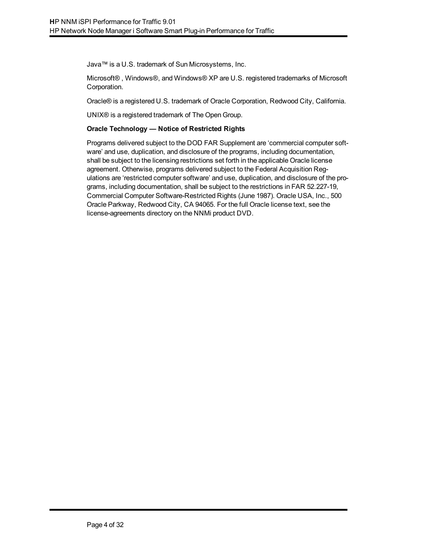Java™ is a U.S. trademark of Sun Microsystems, Inc.

Microsoft® , Windows®, and Windows® XP are U.S. registered trademarks of Microsoft Corporation.

Oracle® is a registered U.S. trademark of Oracle Corporation, Redwood City, California.

UNIX® is a registered trademark of The Open Group.

#### **Oracle Technology — Notice of Restricted Rights**

Programs delivered subject to the DOD FAR Supplement are 'commercial computer software' and use, duplication, and disclosure of the programs, including documentation, shall be subject to the licensing restrictions set forth in the applicable Oracle license agreement. Otherwise, programs delivered subject to the Federal Acquisition Regulations are 'restricted computer software' and use, duplication, and disclosure of the programs, including documentation, shall be subject to the restrictions in FAR 52.227-19, Commercial Computer Software-Restricted Rights (June 1987). Oracle USA, Inc., 500 Oracle Parkway, Redwood City, CA 94065. For the full Oracle license text, see the license-agreements directory on the NNMi product DVD.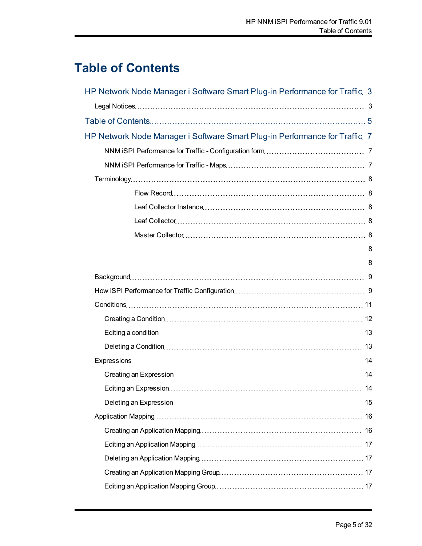## <span id="page-4-0"></span>**Table of Contents**

| HP Network Node Manager i Software Smart Plug-in Performance for Traffic 3 |   |
|----------------------------------------------------------------------------|---|
|                                                                            |   |
|                                                                            |   |
| HP Network Node Manager i Software Smart Plug-in Performance for Traffic 7 |   |
|                                                                            |   |
|                                                                            |   |
|                                                                            |   |
|                                                                            |   |
|                                                                            |   |
|                                                                            |   |
|                                                                            |   |
|                                                                            | 8 |
|                                                                            | 8 |
|                                                                            |   |
|                                                                            |   |
|                                                                            |   |
|                                                                            |   |
|                                                                            |   |
|                                                                            |   |
|                                                                            |   |
|                                                                            |   |
|                                                                            |   |
|                                                                            |   |
|                                                                            |   |
|                                                                            |   |
|                                                                            |   |
|                                                                            |   |
|                                                                            |   |
|                                                                            |   |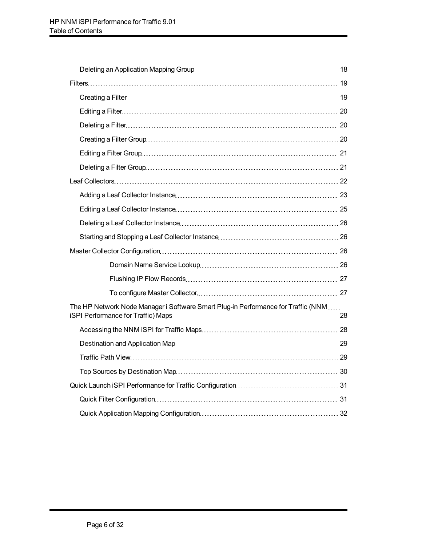| The HP Network Node Manager i Software Smart Plug-in Performance for Traffic (NNM |  |  |
|-----------------------------------------------------------------------------------|--|--|
|                                                                                   |  |  |
|                                                                                   |  |  |
|                                                                                   |  |  |
|                                                                                   |  |  |
|                                                                                   |  |  |
|                                                                                   |  |  |
|                                                                                   |  |  |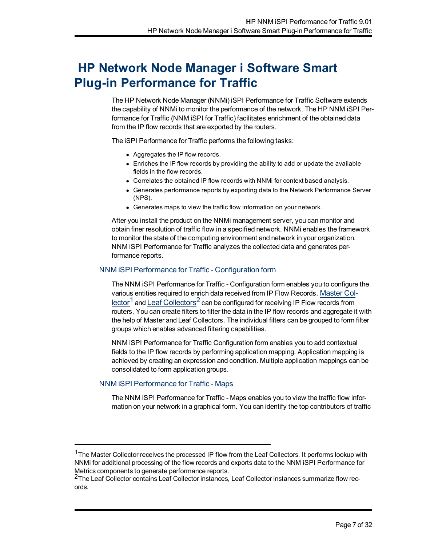## <span id="page-6-0"></span>**HP Network Node Manager i Software Smart Plug-in Performance for Traffic**

The HP Network Node Manager (NNMi) iSPI Performance for Traffic Software extends the capability of NNMi to monitor the performance of the network. The HP NNM iSPI Performance for Traffic (NNM iSPI for Traffic) facilitates enrichment of the obtained data from the IP flow records that are exported by the routers.

The iSPI Performance for Traffic performs the following tasks:

- Aggregates the IP flow records.
- $\bullet$  Enriches the IP flow records by providing the ability to add or update the available fields in the flow records.
- Correlates the obtained IP flow records with NNMi for context based analysis.
- <sup>l</sup> Generates performance reports by exporting data to the Network Performance Server (NPS).
- Generates maps to view the traffic flow information on your network.

After you install the product on the NNMi management server, you can monitor and obtain finer resolution of traffic flow in a specified network. NNMi enables the framework to monitor the state of the computing environment and network in your organization. NNM iSPI Performance for Traffic analyzes the collected data and generates performance reports.

## <span id="page-6-1"></span>NNM iSPI Performance for Traffic - Configuration form

The NNM iSPI Performance for Traffic - Configuration form enables you to configure the various entities required to enrich data received from IP Flow Records. Master Col $l$ ector<sup>1</sup> and Leaf Collectors<sup>2</sup> can be configured for receiving IP Flow records from routers. You can create filters to filter the data in the IP flow records and aggregate it with the help of Master and Leaf Collectors. The individual filters can be grouped to form filter groups which enables advanced filtering capabilities.

NNM iSPI Performance for Traffic Configuration form enables you to add contextual fields to the IP flow records by performing application mapping. Application mapping is achieved by creating an expression and condition. Multiple application mappings can be consolidated to form application groups.

## <span id="page-6-2"></span>NNM iSPI Performance for Traffic - Maps

The NNM iSPI Performance for Traffic - Maps enables you to view the traffic flow information on your network in a graphical form. You can identify the top contributors of traffic

<sup>&</sup>lt;sup>1</sup>The Master Collector receives the processed IP flow from the Leaf Collectors. It performs lookup with NNMi for additional processing of the flow records and exports data to the NNM iSPI Performance for Metrics components to generate performance reports.

<sup>&</sup>lt;sup>2</sup>The Leaf Collector contains Leaf Collector instances, Leaf Collector instances summarize flow records.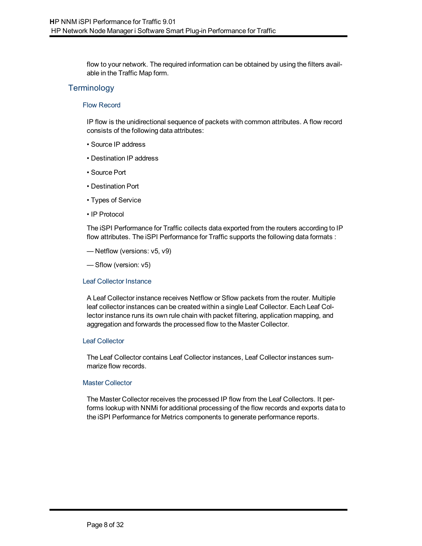flow to your network. The required information can be obtained by using the filters available in the Traffic Map form.

## <span id="page-7-0"></span>**Terminology**

#### <span id="page-7-1"></span>Flow Record

IP flow is the unidirectional sequence of packets with common attributes. A flow record consists of the following data attributes:

- Source IP address
- Destination IP address
- Source Port
- Destination Port
- Types of Service
- IP Protocol

The iSPI Performance for Traffic collects data exported from the routers according to IP flow attributes. The iSPI Performance for Traffic supports the following data formats :

- Netflow (versions: v5, v9)
- Sflow (version: v5)

#### <span id="page-7-2"></span>Leaf Collector Instance

A Leaf Collector instance receives Netflow or Sflow packets from the router. Multiple leaf collector instances can be created within a single Leaf Collector. Each Leaf Collector instance runs its own rule chain with packet filtering, application mapping, and aggregation and forwards the processed flow to the Master Collector.

#### <span id="page-7-3"></span>Leaf Collector

The Leaf Collector contains Leaf Collector instances, Leaf Collector instances summarize flow records.

## <span id="page-7-4"></span>Master Collector

<span id="page-7-6"></span><span id="page-7-5"></span>The Master Collector receives the processed IP flow from the Leaf Collectors. It performs lookup with NNMi for additional processing of the flow records and exports data to the iSPI Performance for Metrics components to generate performance reports.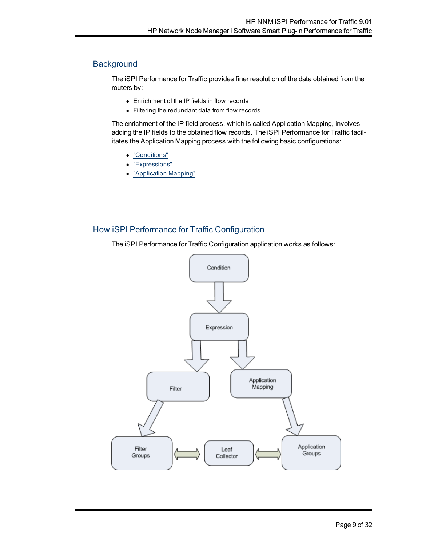## <span id="page-8-0"></span>**Background**

The iSPI Performance for Traffic provides finer resolution of the data obtained from the routers by:

- Enrichment of the IP fields in flow records
- Filtering the redundant data from flow records

The enrichment of the IP field process, which is called Application Mapping, involves adding the IP fields to the obtained flow records. The iSPI Performance for Traffic facilitates the Application Mapping process with the following basic configurations:

- ["Conditions"](#page-10-0)
- ["Expressions"](#page-13-0)
- ["Application](#page-15-0) [Mapping"](#page-15-0)

## <span id="page-8-1"></span>How iSPI Performance for Traffic Configuration

The iSPI Performance for Traffic Configuration application works as follows:

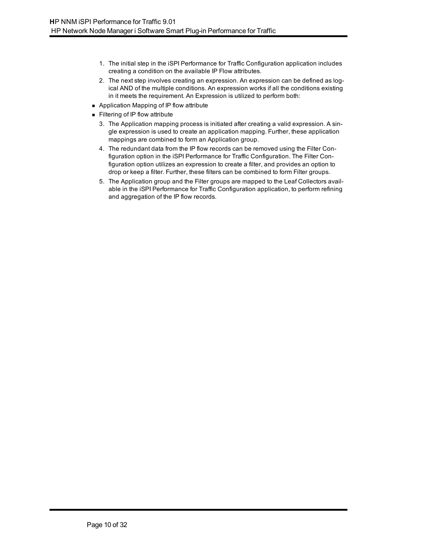- 1. The initial step in the iSPI Performance for Traffic Configuration application includes creating a condition on the available IP Flow attributes.
- 2. The next step involves creating an expression. An expression can be defined as logical AND of the multiple conditions. An expression works if all the conditions existing in it meets the requirement. An Expression is utilized to perform both:
- Application Mapping of IP flow attribute
- $\blacksquare$  Filtering of IP flow attribute
	- 3. The Application mapping process is initiated after creating a valid expression. A single expression is used to create an application mapping. Further, these application mappings are combined to form an Application group.
	- 4. The redundant data from the IP flow records can be removed using the Filter Configuration option in the iSPI Performance for Traffic Configuration. The Filter Configuration option utilizes an expression to create a filter, and provides an option to drop or keep a filter. Further, these filters can be combined to form Filter groups.
	- 5. The Application group and the Filter groups are mapped to the Leaf Collectors available in the iSPI Performance for Traffic Configuration application, to perform refining and aggregation of the IP flow records.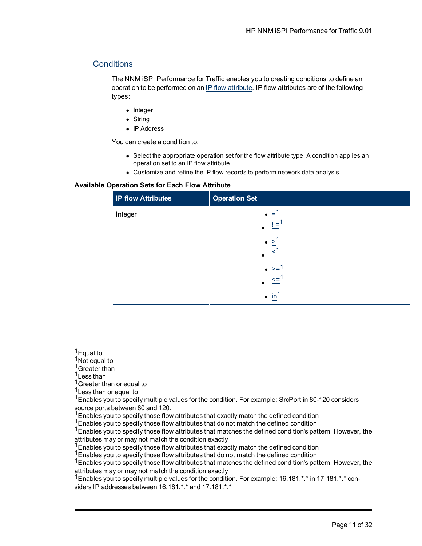## <span id="page-10-0"></span>**Conditions**

The NNM iSPI Performance for Traffic enables you to creating conditions to define an operation to be performed on an [IP](../../../../../Content/nnmtrafficflowattrib.htm) [flow](../../../../../Content/nnmtrafficflowattrib.htm) [attribute](../../../../../Content/nnmtrafficflowattrib.htm). IP flow attributes are of the following types:

- Integer
- $\bullet$  String
- $\bullet$  IP Address

You can create a condition to:

- Select the appropriate operation set for the flow attribute type. A condition applies an operation set to an IP flow attribute.
- Customize and refine the IP flow records to perform network data analysis.

#### **Available Operation Sets for Each Flow Attribute**

| <b>IP flow Attributes</b> | <b>Operation Set</b>                                |  |
|---------------------------|-----------------------------------------------------|--|
| Integer                   | $=$<br>$\bullet$<br>$=$                             |  |
|                           | $\bullet$ > <sup>1</sup><br>$\prec$                 |  |
|                           | $\bullet$ >= <sup>1</sup><br>$\leq$ = $\frac{1}{2}$ |  |
|                           | $\bullet$ in                                        |  |

- <sup>1</sup>Greater than
- <sup>1</sup>Less than

<sup>1</sup> Greater than or equal to

<sup>1</sup> Less than or equal to

<sup>1</sup>Enables you to specify multiple values for the condition. For example: SrcPort in 80-120 considers source ports between 80 and 120.

 $1$  Enables you to specify those flow attributes that exactly match the defined condition

<sup>1</sup> Enables you to specify those flow attributes that do not match the defined condition

<sup>1</sup> Enables you to specify those flow attributes that matches the defined condition's pattern, However, the attributes may or may not match the condition exactly

<sup>1</sup> Enables you to specify those flow attributes that exactly match the defined condition

1Enables you to specify those flow attributes that do not match the defined condition

<sup>1</sup> Enables you to specify those flow attributes that matches the defined condition's pattern, However, the attributes may or may not match the condition exactly

 $1$ Enables you to specify multiple values for the condition. For example: 16.181. $*$ . $*$  in 17.181. $*$ . $*$  considers IP addresses between 16.181.\*.\* and 17.181.\*.\*

<sup>&</sup>lt;sup>1</sup>Equal to

<sup>&</sup>lt;sup>1</sup>Not equal to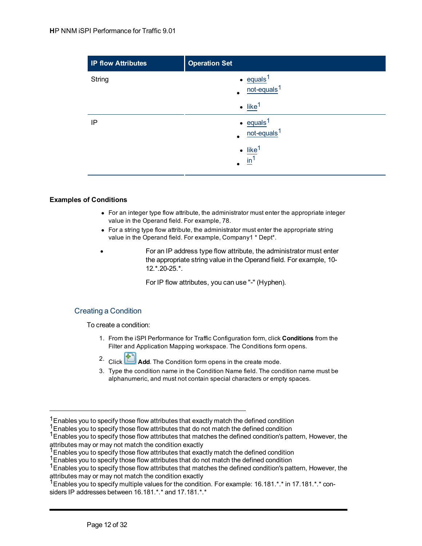| <b>IP flow Attributes</b> | <b>Operation Set</b>                                   |
|---------------------------|--------------------------------------------------------|
| String                    | $\cdot$ equals <sup>1</sup><br>not-equals <sup>1</sup> |
|                           | $\bullet$ like <sup>1</sup>                            |
| IP                        | $\cdot$ equals <sup>1</sup><br>not-equals <sup>1</sup> |
|                           | $\cdot$ like <sup>1</sup><br>$\mathbf{m}^1$            |

## **Examples of Conditions**

- For an integer type flow attribute, the administrator must enter the appropriate integer value in the Operand field. For example, 78.
- For a string type flow attribute, the administrator must enter the appropriate string value in the Operand field. For example, Company1 \* Dept\*.
- For an IP address type flow attribute, the administrator must enter the appropriate string value in the Operand field. For example, 10- 12.\*.20-25.\*.

For IP flow attributes, you can use "-" (Hyphen).

## <span id="page-11-0"></span>Creating a Condition

To create a condition:

- 1. From the iSPI Performance for Traffic Configuration form, click **Conditions** from the Filter and Application Mapping workspace. The Conditions form opens.
- 2. Click **Add**. The Condition form opens in the create mode.
- 3. Type the condition name in the Condition Name field. The condition name must be alphanumeric, and must not contain special characters or empty spaces.

<sup>1</sup>Enables you to specify multiple values for the condition. For example: 16.181.\*.\* in 17.181.\*.\* considers IP addresses between 16.181.\*.\* and 17.181.\*.\*

 $1$ Enables you to specify those flow attributes that exactly match the defined condition

<sup>&</sup>lt;sup>1</sup>Enables you to specify those flow attributes that do not match the defined condition

<sup>&</sup>lt;sup>1</sup>Enables you to specify those flow attributes that matches the defined condition's pattern, However, the attributes may or may not match the condition exactly

 $1$ Enables you to specify those flow attributes that exactly match the defined condition

 $1$ Enables you to specify those flow attributes that do not match the defined condition

<sup>&</sup>lt;sup>1</sup> Enables you to specify those flow attributes that matches the defined condition's pattern, However, the attributes may or may not match the condition exactly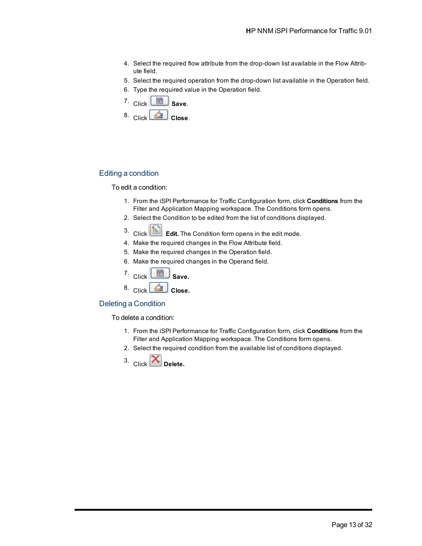- 4. Select the required flow attribute from the drop-down list available in the Flow Attribute field.
- 5. Select the required operation from the drop-down list available in the Operation field.
- 6. Type the required value in the Operation field.
- 7. Click **Save**.
- 8. Click **Close**.

#### <span id="page-12-0"></span>Editing a condition

#### To edit a condition:

- 1. From the iSPI Performance for Traffic Configuration form, click **Conditions** from the Filter and Application Mapping workspace. The Conditions form opens.
- 2. Select the Condition to be edited from the list of conditions displayed.
- 3. Click **Edit.** The Condition form opens in the edit mode.
- 4. Make the required changes in the Flow Attribute field.
- 5. Make the required changes in the Operation field.
- 6. Make the required changes in the Operand field.
- $7.$  Click  $\begin{array}{|c|c|}\n\hline\n\end{array}$  Save.
- 8. Click **C** Close.

## <span id="page-12-1"></span>Deleting a Condition

To delete a condition:

- 1. From the iSPI Performance for Traffic Configuration form, click **Conditions** from the Filter and Application Mapping workspace. The Conditions form opens.
- 2. Select the required condition from the available list of conditions displayed.
- 3.  $Click$  **Delete.**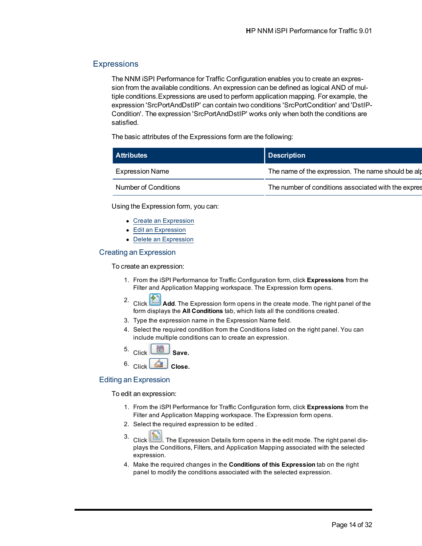## <span id="page-13-0"></span>**Expressions**

The NNM iSPI Performance for Traffic Configuration enables you to create an expression from the available conditions. An expression can be defined as logical AND of multiple conditions.Expressions are used to perform application mapping. For example, the expression 'SrcPortAndDstIP' can contain two conditions 'SrcPortCondition' and 'DstIP-Condition'. The expression 'SrcPortAndDstIP' works only when both the conditions are satisfied.

The basic attributes of the Expressions form are the following:

| <b>Attributes</b>      | Description                                         |
|------------------------|-----------------------------------------------------|
| <b>Expression Name</b> | The name of the expression. The name should be alp  |
| Number of Conditions   | The number of conditions associated with the expres |

Using the Expression form, you can:

- [Create](#page-13-1) [an](#page-13-1) [Expression](#page-13-1)
- [Edit](#page-13-2) [an](#page-13-2) [Expression](#page-13-2)
- [Delete](#page-14-0) [an](#page-14-0) [Expression](#page-14-0)

#### <span id="page-13-1"></span>Creating an Expression

To create an expression:

- 1. From the iSPI Performance for Traffic Configuration form, click **Expressions** from the Filter and Application Mapping workspace. The Expression form opens.
- 2. Click **Add**. The Expression form opens in the create mode. The right panel of the form displays the **All Conditions** tab, which lists all the conditions created.
- 3. Type the expression name in the Expression Name field.
- 4. Select the required condition from the Conditions listed on the right panel. You can include multiple conditions can to create an expression.
- $\frac{1}{2}$  Click  $\frac{1}{2}$  Save.
- 
- 6. Click **Close.**

#### <span id="page-13-2"></span>Editing an Expression

To edit an expression:

- 1. From the iSPI Performance for Traffic Configuration form, click **Expressions** from the Filter and Application Mapping workspace. The Expression form opens.
- 2. Select the required expression to be edited .
- 3. Click **3.** The Expression Details form opens in the edit mode. The right panel displays the Conditions, Filters, and Application Mapping associated with the selected expression.
- 4. Make the required changes in the **Conditions of this Expression** tab on the right panel to modify the conditions associated with the selected expression.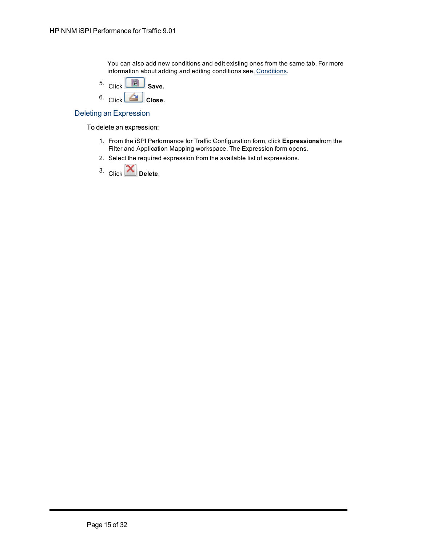You can also add new conditions and edit existing ones from the same tab. For more information about adding and editing conditions see, [Conditions](#page-11-0).

- 5. Click **Save.**
- 6. Click **Close.**

#### <span id="page-14-0"></span>Deleting an Expression

To delete an expression:

- 1. From the iSPI Performance for Traffic Configuration form, click **Expressions**from the Filter and Application Mapping workspace. The Expression form opens.
- 2. Select the required expression from the available list of expressions.

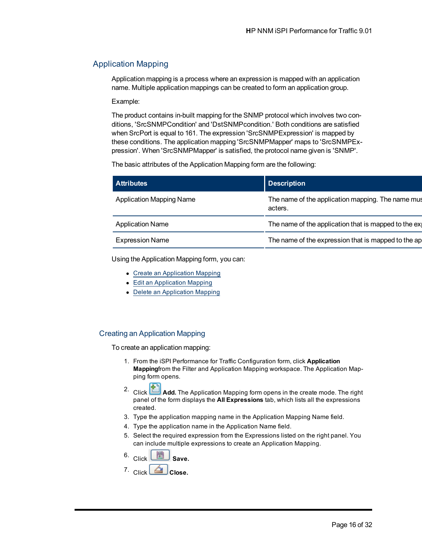## <span id="page-15-0"></span>Application Mapping

Application mapping is a process where an expression is mapped with an application name. Multiple application mappings can be created to form an application group.

Example:

The product contains in-built mapping for the SNMP protocol which involves two conditions, 'SrcSNMPCondition' and 'DstSNMPcondition.' Both conditions are satisfied when SrcPort is equal to 161. The expression 'SrcSNMPExpression' is mapped by these conditions. The application mapping 'SrcSNMPMapper' maps to 'SrcSNMPExpression'. When 'SrcSNMPMapper' is satisfied, the protocol name given is 'SNMP'.

The basic attributes of the Application Mapping form are the following:

| <b>Attributes</b>               | <b>Description</b>                                           |
|---------------------------------|--------------------------------------------------------------|
| <b>Application Mapping Name</b> | The name of the application mapping. The name mus<br>acters. |
| <b>Application Name</b>         | The name of the application that is mapped to the ex         |
| <b>Expression Name</b>          | The name of the expression that is mapped to the ap          |

Using the Application Mapping form, you can:

- [Create](#page-15-1) [an](#page-15-1) [Application](#page-15-1) [Mapping](#page-15-1)
- [Edit](#page-16-0) [an](#page-16-0) [Application](#page-16-0) [Mapping](#page-16-0)
- [Delete](#page-16-1) [an](#page-16-1) [Application](#page-16-1) [Mapping](#page-16-1)

## <span id="page-15-1"></span>Creating an Application Mapping

To create an application mapping:

- 1. From the iSPI Performance for Traffic Configuration form, click **Application Mapping**from the Filter and Application Mapping workspace. The Application Mapping form opens.
- 2. Click **Add.** The Application Mapping form opens in the create mode. The right panel of the form displays the **All Expressions** tab, which lists all the expressions created.
- 3. Type the application mapping name in the Application Mapping Name field.
- 4. Type the application name in the Application Name field.
- 5. Select the required expression from the Expressions listed on the right panel. You can include multiple expressions to create an Application Mapping.
- $6.$  Click  $\begin{array}{|c|c|c|}\n\hline\n\end{array}$  Save.
- 7. Click **Close.**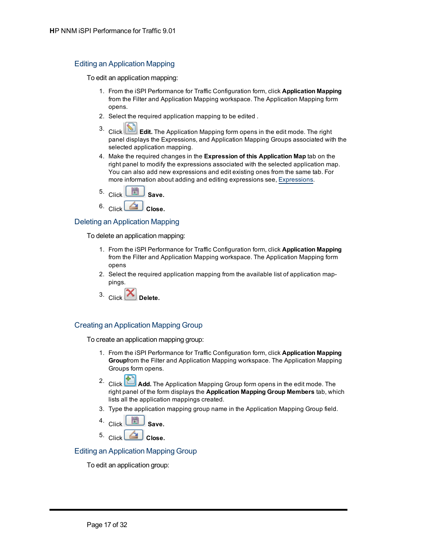## <span id="page-16-0"></span>Editing an Application Mapping

To edit an application mapping:

- 1. From the iSPI Performance for Traffic Configuration form, click **Application Mapping** from the Filter and Application Mapping workspace. The Application Mapping form opens.
- 2. Select the required application mapping to be edited .
- 3. Click **Edit.** The Application Mapping form opens in the edit mode. The right panel displays the Expressions, and Application Mapping Groups associated with the selected application mapping.
- 4. Make the required changes in the **Expression of this Application Map** tab on the right panel to modify the expressions associated with the selected application map. You can also add new expressions and edit existing ones from the same tab. For more information about adding and editing expressions see, [Expressions](#page-13-1).



## <span id="page-16-1"></span>Deleting an Application Mapping

To delete an application mapping:

- 1. From the iSPI Performance for Traffic Configuration form, click **Application Mapping** from the Filter and Application Mapping workspace. The Application Mapping form opens
- 2. Select the required application mapping from the available list of application mappings.
- 3.  $Click$  Delete.

## <span id="page-16-2"></span>Creating an Application Mapping Group

To create an application mapping group:

- 1. From the iSPI Performance for Traffic Configuration form, click **Application Mapping Group**from the Filter and Application Mapping workspace. The Application Mapping Groups form opens.
- Add. The Application Mapping Group form opens in the edit mode. The Click **Add.** The Application Mapping Group form opens in the edit mode. The right panel of the form displays the **Application Mapping Group Members** tab, which lists all the application mappings created.
- 3. Type the application mapping group name in the Application Mapping Group field.
- 4. Click **Save.**
- $5.$  Click  $\left[ \triangleq \right]$  Close.

## <span id="page-16-3"></span>Editing an Application Mapping Group

To edit an application group: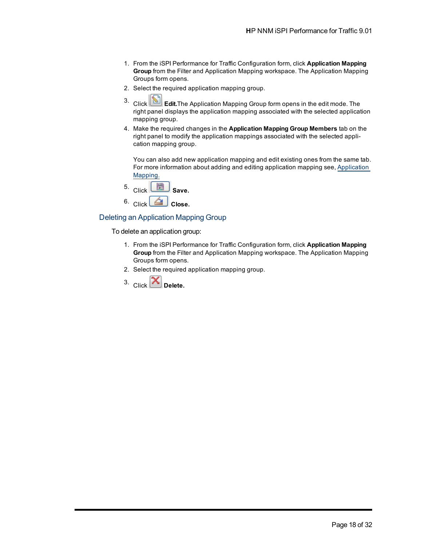- 1. From the iSPI Performance for Traffic Configuration form, click **Application Mapping Group** from the Filter and Application Mapping workspace. The Application Mapping Groups form opens.
- 2. Select the required application mapping group.
- 3. Click **Edit.**The Application Mapping Group form opens in the edit mode. The right panel displays the application mapping associated with the selected application mapping group.
- 4. Make the required changes in the **Application Mapping Group Members** tab on the right panel to modify the application mappings associated with the selected application mapping group.

You can also add new application mapping and edit existing ones from the same tab. For more information about adding and editing application mapping see, [Application](#page-15-1) [Mapping.](#page-15-1)



## <span id="page-17-0"></span>Deleting an Application Mapping Group

To delete an application group:

- 1. From the iSPI Performance for Traffic Configuration form, click **Application Mapping Group** from the Filter and Application Mapping workspace. The Application Mapping Groups form opens.
- 2. Select the required application mapping group.
- 3.  $Click$  **Delete.**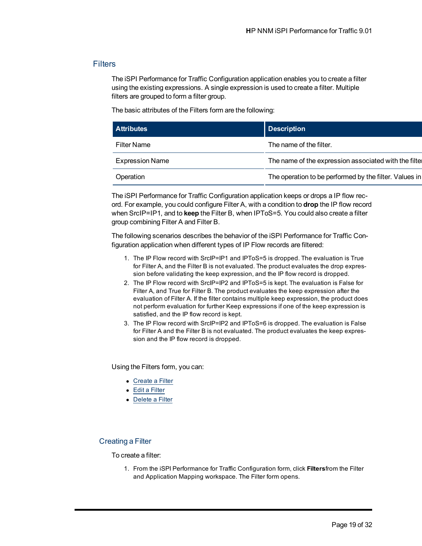## <span id="page-18-0"></span>**Filters**

The iSPI Performance for Traffic Configuration application enables you to create a filter using the existing expressions. A single expression is used to create a filter. Multiple filters are grouped to form a filter group.

The basic attributes of the Filters form are the following:

| <b>Attributes</b>      | <b>Description</b>                                     |
|------------------------|--------------------------------------------------------|
| <b>Filter Name</b>     | The name of the filter.                                |
| <b>Expression Name</b> | The name of the expression associated with the filter  |
| Operation              | The operation to be performed by the filter. Values in |

The iSPI Performance for Traffic Configuration application keeps or drops a IP flow record. For example, you could configure Filter A, with a condition to **drop** the IP flow record when SrcIP=IP1, and to **keep** the Filter B, when IPToS=5. You could also create a filter group combining Filter A and Filter B.

The following scenarios describes the behavior of the iSPI Performance for Traffic Configuration application when different types of IP Flow records are filtered:

- 1. The IP Flow record with SrcIP=IP1 and IPToS=5 is dropped. The evaluation is True for Filter A, and the Filter B is not evaluated. The product evaluates the drop expression before validating the keep expression, and the IP flow record is dropped.
- 2. The IP Flow record with SrcIP=IP2 and IPToS=5 is kept. The evaluation is False for Filter A, and True for Filter B. The product evaluates the keep expression after the evaluation of Filter A. If the filter contains multiple keep expression, the product does not perform evaluation for further Keep expressions if one of the keep expression is satisfied, and the IP flow record is kept.
- 3. The IP Flow record with SrcIP=IP2 and IPToS=6 is dropped. The evaluation is False for Filter A and the Filter B is not evaluated. The product evaluates the keep expression and the IP flow record is dropped.

Using the Filters form, you can:

- [Create](#page-18-1) [a](#page-18-1) [Filter](#page-18-1)
- [Edit](#page-19-0) [a](#page-19-0) [Filter](#page-19-0)
- [Delete](#page-19-1) [a](#page-19-1) [Filter](#page-19-1)

## <span id="page-18-1"></span>Creating a Filter

To create a filter:

1. From the iSPI Performance for Traffic Configuration form, click **Filters**from the Filter and Application Mapping workspace. The Filter form opens.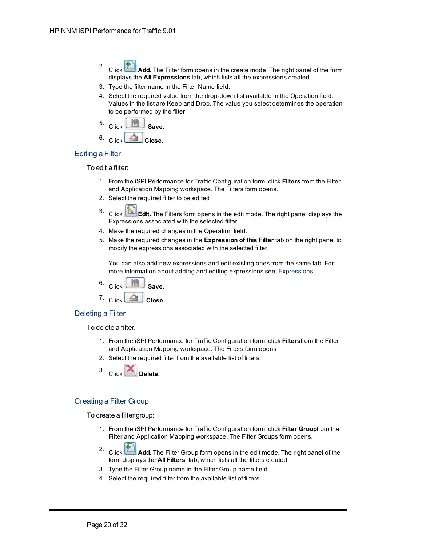- Add. The Filter form opens in the create mode. The right panel of the form displays the **All Expressions** tab, which lists all the expressions created.
- 3. Type the filter name in the Filter Name field.
- 4. Select the required value from the drop-down list available in the Operation field. Values in the list are Keep and Drop. The value you select determines the operation to be performed by the filter.
- 5. Click **Save.**
- 6. Click **Close.**

## <span id="page-19-0"></span>Editing a Filter

To edit a filter:

- 1. From the iSPI Performance for Traffic Configuration form, click **Filters** from the Filter and Application Mapping workspace. The Filters form opens.
- 2. Select the required filter to be edited .
- 3. Click **Edit.** The Filters form opens in the edit mode. The right panel displays the Expressions associated with the selected filter.
- 4. Make the required changes in the Operation field.
- 5. Make the required changes in the **Expression of this Filter** tab on the right panel to modify the expressions associated with the selected filter.

You can also add new expressions and edit existing ones from the same tab. For more information about adding and editing expressions see, [Expressions](#page-13-1).

6. Click **Save.**

7. Click **Close.**

## <span id="page-19-1"></span>Deleting a Filter

To delete a filter,

- 1. From the iSPI Performance for Traffic Configuration form, click **Filters**from the Filter and Application Mapping workspace. The Filters form opens
- 2. Select the required filter from the available list of filters.
- 3.  $Click$  Delete.

## <span id="page-19-2"></span>Creating a Filter Group

To create a filter group:

- 1. From the iSPI Performance for Traffic Configuration form, click **Filter Group**from the Filter and Application Mapping workspace. The Filter Groups form opens.
- 2. Click **Add.** The Filter Group form opens in the edit mode. The right panel of the form displays the **All Filters** tab, which lists all the filters created.
- 3. Type the Filter Group name in the Filter Group name field.
- 4. Select the required filter from the available list of filters.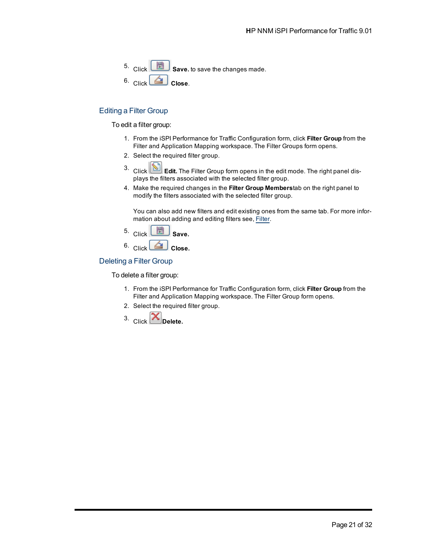5. Click **Save.** to save the changes made. 6. Click **Close**.

## <span id="page-20-0"></span>Editing a Filter Group

#### To edit a filter group:

- 1. From the iSPI Performance for Traffic Configuration form, click **Filter Group** from the Filter and Application Mapping workspace. The Filter Groups form opens.
- 2. Select the required filter group.
- 3. Click **Edit.** The Filter Group form opens in the edit mode. The right panel displays the filters associated with the selected filter group.
- 4. Make the required changes in the **Filter Group Members**tab on the right panel to modify the filters associated with the selected filter group.

You can also add new filters and edit existing ones from the same tab. For more information about adding and editing filters see, [Filter.](#page-18-1)

- 5. Click **Save.**
- 6. Click **Close.**

#### <span id="page-20-1"></span>Deleting a Filter Group

To delete a filter group:

- 1. From the iSPI Performance for Traffic Configuration form, click **Filter Group** from the Filter and Application Mapping workspace. The Filter Group form opens.
- 2. Select the required filter group.
- 3. Click **Delete.**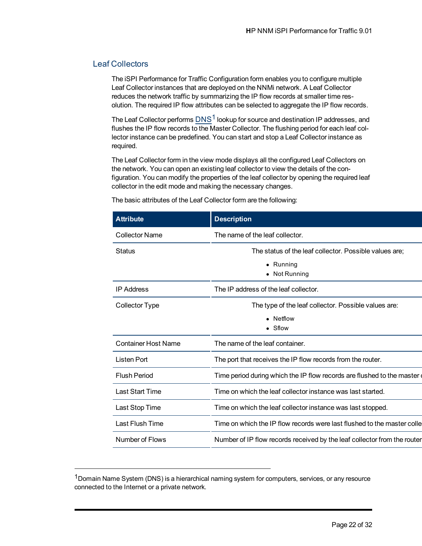## <span id="page-21-0"></span>Leaf Collectors

The iSPI Performance for Traffic Configuration form enables you to configure multiple Leaf Collector instances that are deployed on the NNMi network. A Leaf Collector reduces the network traffic by summarizing the IP flow records at smaller time resolution. The required IP flow attributes can be selected to aggregate the IP flow records.

The Leaf Collector performs  $DNS<sup>1</sup>$  lookup for source and destination IP addresses, and flushes the IP flow records to the Master Collector. The flushing period for each leaf collector instance can be predefined. You can start and stop a Leaf Collector instance as required.

The Leaf Collector form in the view mode displays all the configured Leaf Collectors on the network. You can open an existing leaf collector to view the details of the configuration. You can modify the properties of the leaf collector by opening the required leaf collector in the edit mode and making the necessary changes.

| <b>Attribute</b>           | <b>Description</b>                                                       |
|----------------------------|--------------------------------------------------------------------------|
| <b>Collector Name</b>      | The name of the leaf collector.                                          |
| Status                     | The status of the leaf collector. Possible values are:                   |
|                            | • Running<br>• Not Running                                               |
| <b>IP Address</b>          | The IP address of the leaf collector.                                    |
| <b>Collector Type</b>      | The type of the leaf collector. Possible values are:                     |
|                            | • Netflow<br>$\bullet$ Sflow                                             |
| <b>Container Host Name</b> | The name of the leaf container.                                          |
| Listen Port                | The port that receives the IP flow records from the router.              |
| <b>Flush Period</b>        | Time period during which the IP flow records are flushed to the master   |
| <b>Last Start Time</b>     | Time on which the leaf collector instance was last started.              |
| Last Stop Time             | Time on which the leaf collector instance was last stopped.              |
| Last Flush Time            | Time on which the IP flow records were last flushed to the master colle  |
| Number of Flows            | Number of IP flow records received by the leaf collector from the router |
|                            |                                                                          |

The basic attributes of the Leaf Collector form are the following:

<sup>&</sup>lt;sup>1</sup> Domain Name System (DNS) is a hierarchical naming system for computers, services, or any resource connected to the Internet or a private network.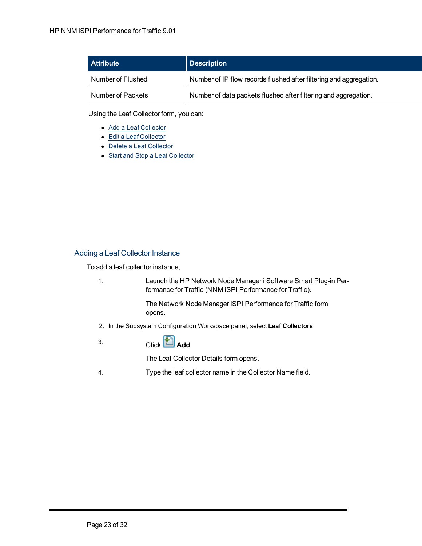| <b>Attribute</b>  | <b>Description</b>                                                 |
|-------------------|--------------------------------------------------------------------|
| Number of Flushed | Number of IP flow records flushed after filtering and aggregation. |
| Number of Packets | Number of data packets flushed after filtering and aggregation.    |

Using the Leaf Collector form, you can:

- [Add](#page-22-0) [a](#page-22-0) [Leaf](#page-22-0) [Collector](#page-22-0)
- [Edit](#page-24-0) [a](#page-24-0) [Leaf](#page-24-0) [Collector](#page-24-0)
- [Delete](#page-25-0) [a](#page-25-0) [Leaf](#page-25-0) [Collector](#page-25-0)
- [Start](#page-25-1) [and](#page-25-1) [Stop](#page-25-1) [a](#page-25-1) [Leaf](#page-25-1) [Collector](#page-25-1)

## <span id="page-22-0"></span>Adding a Leaf Collector Instance

To add a leaf collector instance,

1. Launch the HP Network Node Manager i Software Smart Plug-in Performance for Traffic (NNM iSPI Performance for Traffic).

> The Network Node Manager iSPI Performance for Traffic form opens.

- 2. In the Subsystem Configuration Workspace panel, select **Leaf Collectors**.
- $3.$  Click  $\begin{pmatrix} \begin{pmatrix} 1 \\ 1 \end{pmatrix} \end{pmatrix}$ **Add**.

The Leaf Collector Details form opens.

4. Type the leaf collector name in the Collector Name field.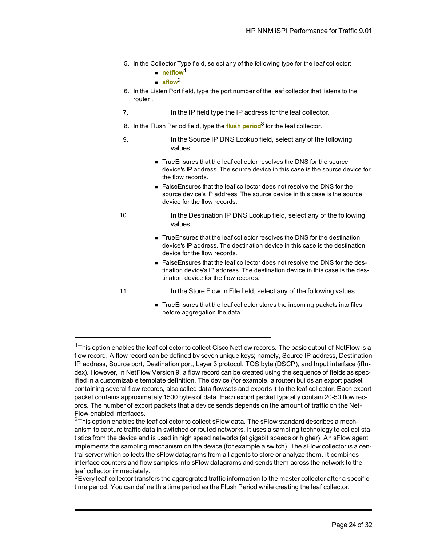- 5. In the Collector Type field, select any of the following type for the leaf collector:
	- netflow<sup>1</sup>
	- $\blacksquare$  sflow<sup>2</sup>
- 6. In the Listen Port field, type the port number of the leaf collector that listens to the router .
- 7. In the IP field type the IP address for the leaf collector.
- 8. In the Flush Period field, type the **flush period**3 for the leaf collector.
- 9. In the Source IP DNS Lookup field, select any of the following values:
	- TrueEnsures that the leaf collector resolves the DNS for the source device's IP address. The source device in this case is the source device for the flow records.
	- FalseEnsures that the leaf collector does not resolve the DNS for the source device's IP address. The source device in this case is the source device for the flow records.
- 10. In the Destination IP DNS Lookup field, select any of the following values:
	- <sup>n</sup> TrueEnsures that the leaf collector resolves the DNS for the destination device's IP address. The destination device in this case is the destination device for the flow records.
	- False Ensures that the leaf collector does not resolve the DNS for the destination device's IP address. The destination device in this case is the destination device for the flow records.
- 
- 11. In the Store Flow in File field, select any of the following values:
	- TrueEnsures that the leaf collector stores the incoming packets into files before aggregation the data.

<sup>&</sup>lt;sup>1</sup>This option enables the leaf collector to collect Cisco Netflow records. The basic output of NetFlow is a flow record. A flow record can be defined by seven unique keys; namely, Source IP address, Destination IP address, Source port, Destination port, Layer 3 protocol, TOS byte (DSCP), and Input interface (ifIndex). However, in NetFlow Version 9, a flow record can be created using the sequence of fields as specified in a customizable template definition. The device (for example, a router) builds an export packet containing several flow records, also called data flowsets and exports it to the leaf collector. Each export packet contains approximately 1500 bytes of data. Each export packet typically contain 20-50 flow records. The number of export packets that a device sends depends on the amount of traffic on the Net-Flow-enabled interfaces.

 $2$ This option enables the leaf collector to collect sFlow data. The sFlow standard describes a mechanism to capture traffic data in switched or routed networks. It uses a sampling technology to collect statistics from the device and is used in high speed networks (at gigabit speeds or higher). An sFlow agent implements the sampling mechanism on the device (for example a switch). The sFlow collector is a central server which collects the sFlow datagrams from all agents to store or analyze them. It combines interface counters and flow samples into sFlow datagrams and sends them across the network to the leaf collector immediately.

<sup>&</sup>lt;sup>3</sup>Every leaf collector transfers the aggregrated traffic information to the master collector after a specific time period. You can define this time period as the Flush Period while creating the leaf collector.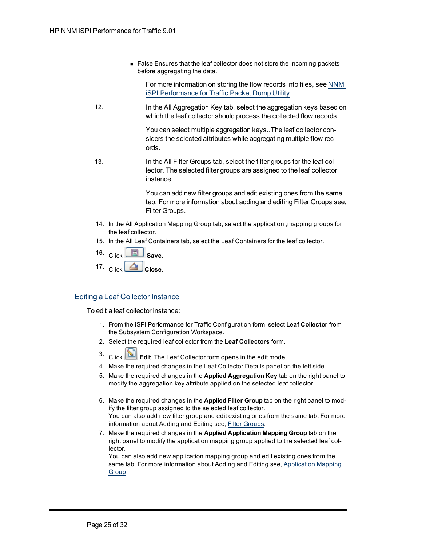■ False Ensures that the leaf collector does not store the incoming packets before aggregating the data.

For more information on storing the flow records into files, see [NNM](../../../../../Content/Traffic iSPI Configuration guide/nnmtrafficconfpackdump.htm) [iSPI](../../../../../Content/Traffic iSPI Configuration guide/nnmtrafficconfpackdump.htm) [Performance](../../../../../Content/Traffic iSPI Configuration guide/nnmtrafficconfpackdump.htm) [for](../../../../../Content/Traffic iSPI Configuration guide/nnmtrafficconfpackdump.htm) [Traffic](../../../../../Content/Traffic iSPI Configuration guide/nnmtrafficconfpackdump.htm) [Packet](../../../../../Content/Traffic iSPI Configuration guide/nnmtrafficconfpackdump.htm) [Dump](../../../../../Content/Traffic iSPI Configuration guide/nnmtrafficconfpackdump.htm) [Utility.](../../../../../Content/Traffic iSPI Configuration guide/nnmtrafficconfpackdump.htm)

12. In the All Aggregation Key tab, select the aggregation keys based on which the leaf collector should process the collected flow records.

> You can select multiple aggregation keys..The leaf collector considers the selected attributes while aggregating multiple flow records.

13. In the All Filter Groups tab, select the filter groups for the leaf collector. The selected filter groups are assigned to the leaf collector instance.

> You can add new filter groups and edit existing ones from the same tab. For more information about adding and editing Filter Groups see, Filter Groups.

- 14. In the All Application Mapping Group tab, select the application ,mapping groups for the leaf collector.
- 15. In the All Leaf Containers tab, select the Leaf Containers for the leaf collector.
- 16. Click **Save**.
- 17. Click **CL** Close.

## <span id="page-24-0"></span>Editing a Leaf Collector Instance

To edit a leaf collector instance:

- 1. From the iSPI Performance for Traffic Configuration form, select **Leaf Collector** from the Subsystem Configuration Workspace.
- 2. Select the required leaf collector from the **Leaf Collectors** form.
	-
- 3. Click **Edit**. The Leaf Collector form opens in the edit mode.
- 4. Make the required changes in the Leaf Collector Details panel on the left side.
- 5. Make the required changes in the **Applied Aggregation Key** tab on the right panel to modify the aggregation key attribute applied on the selected leaf collector.
- 6. Make the required changes in the **Applied Filter Group** tab on the right panel to modify the filter group assigned to the selected leaf collector. You can also add new filter group and edit existing ones from the same tab. For more information about Adding and Editing see, [Filter](../../../../../Content/nnmitrafficconffiltergroup.htm) [Groups](../../../../../Content/nnmitrafficconffiltergroup.htm).
- 7. Make the required changes in the **Applied Application Mapping Group** tab on the right panel to modify the application mapping group applied to the selected leaf collector.

You can also add new application mapping group and edit existing ones from the same tab. For more information about Adding and Editing see, [Application](../../../../../Content/nnmitrafficconfapplicationmappinggroup.htm) [Mapping](../../../../../Content/nnmitrafficconfapplicationmappinggroup.htm) [Group](../../../../../Content/nnmitrafficconfapplicationmappinggroup.htm).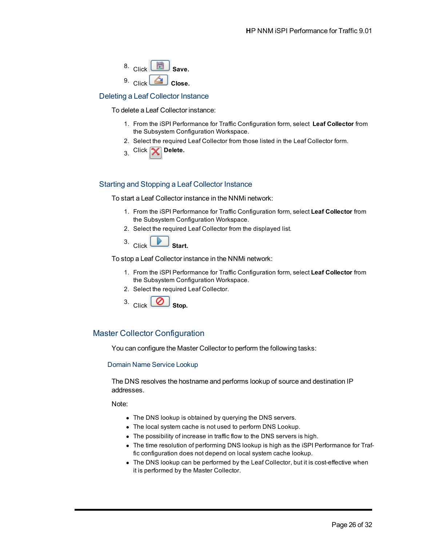

#### <span id="page-25-0"></span>Deleting a Leaf Collector Instance

To delete a Leaf Collector instance:

- 1. From the iSPI Performance for Traffic Configuration form, select **Leaf Collector** from the Subsystem Configuration Workspace.
- 2. Select the required Leaf Collector from those listed in the Leaf Collector form.
- 3. Click **X** Delete.

## <span id="page-25-1"></span>Starting and Stopping a Leaf Collector Instance

To start a Leaf Collector instance in the NNMi network:

- 1. From the iSPI Performance for Traffic Configuration form, select **Leaf Collector** from the Subsystem Configuration Workspace.
- 2. Select the required Leaf Collector from the displayed list.
- 3. Click **Start.**

To stop a Leaf Collector instance in the NNMi network:

- 1. From the iSPI Performance for Traffic Configuration form, select **Leaf Collector** from the Subsystem Configuration Workspace.
- 2. Select the required Leaf Collector.



## <span id="page-25-2"></span>Master Collector Configuration

<span id="page-25-3"></span>You can configure the Master Collector to perform the following tasks:

#### Domain Name Service Lookup

The DNS resolves the hostname and performs lookup of source and destination IP addresses.

Note:

- The DNS lookup is obtained by querying the DNS servers.
- The local system cache is not used to perform DNS Lookup.
- The possibility of increase in traffic flow to the DNS servers is high.
- The time resolution of performing DNS lookup is high as the iSPI Performance for Traffic configuration does not depend on local system cache lookup.
- The DNS lookup can be performed by the Leaf Collector, but it is cost-effective when it is performed by the Master Collector.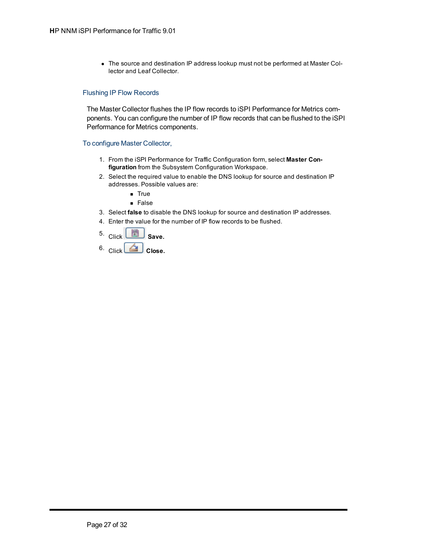• The source and destination IP address lookup must not be performed at Master Collector and Leaf Collector.

#### <span id="page-26-0"></span>Flushing IP Flow Records

The Master Collector flushes the IP flow records to iSPI Performance for Metrics components. You can configure the number of IP flow records that can be flushed to the iSPI Performance for Metrics components.

#### <span id="page-26-1"></span>To configure Master Collector,

- 1. From the iSPI Performance for Traffic Configuration form, select **Master Configuration** from the Subsystem Configuration Workspace.
- 2. Select the required value to enable the DNS lookup for source and destination IP addresses. Possible values are:
	- $i$  True
	- <sup>n</sup> False
- 3. Select **false** to disable the DNS lookup for source and destination IP addresses.
- 4. Enter the value for the number of IP flow records to be flushed.
- $\frac{5.}{2}$  Click  $\frac{1}{2}$  Save.
- 6. Click **Close.**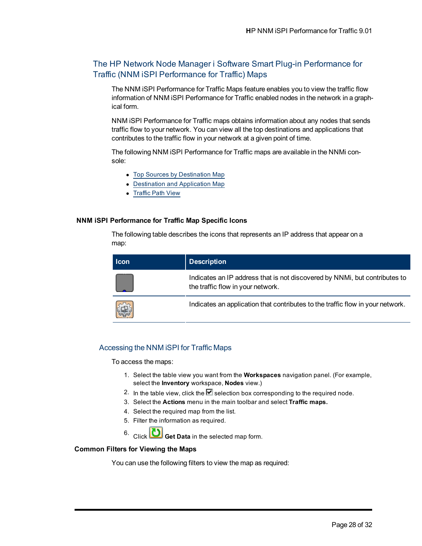## <span id="page-27-0"></span>The HP Network Node Manager i Software Smart Plug-in Performance for Traffic (NNM iSPI Performance for Traffic) Maps

The NNM iSPI Performance for Traffic Maps feature enables you to view the traffic flow information of NNM iSPI Performance for Traffic enabled nodes in the network in a graphical form.

NNM iSPI Performance for Traffic maps obtains information about any nodes that sends traffic flow to your network. You can view all the top destinations and applications that contributes to the traffic flow in your network at a given point of time.

The following NNM iSPI Performance for Traffic maps are available in the NNMi console:

- [Top](#page-29-0) [Sources](#page-29-0) [by](#page-29-0) [Destination](#page-29-0) [Map](#page-29-0)
- [Destination](#page-28-0) [and](#page-28-0) [Application](#page-28-0) [Map](#page-28-0)
- [Traffic](#page-28-1) [Path](#page-28-1) [View](#page-28-1)

#### **NNM iSPI Performance for Traffic Map Specific Icons**

The following table describes the icons that represents an IP address that appear on a map:

| <b>Icon</b> | <b>Description</b>                                                                                              |
|-------------|-----------------------------------------------------------------------------------------------------------------|
|             | Indicates an IP address that is not discovered by NNMi, but contributes to<br>the traffic flow in your network. |
| 鑂           | Indicates an application that contributes to the traffic flow in your network.                                  |

## <span id="page-27-1"></span>Accessing the NNM iSPI for Traffic Maps

To access the maps:

- 1. Select the table view you want from the **Workspaces** navigation panel. (For example, select the **Inventory** workspace, **Nodes** view.)
- 2. In the table view, click the  $\blacktriangledown$  selection box corresponding to the required node.
- 3. Select the **Actions** menu in the main toolbar and select **Traffic maps.**
- 4. Select the required map from the list.
- 5. Filter the information as required.
- 6. Click **Get Data** in the selected map form.

#### **Common Filters for Viewing the Maps**

You can use the following filters to view the map as required: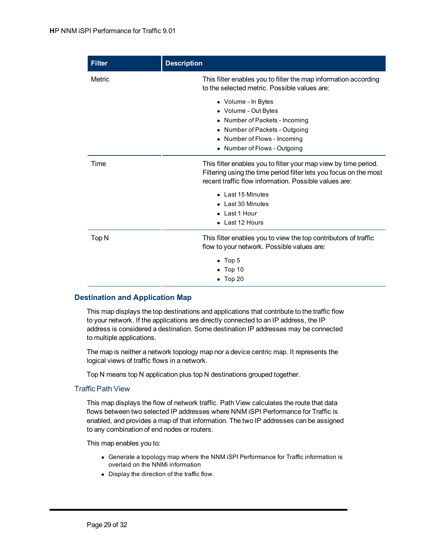| <b>Filter</b> | <b>Description</b>                                                                                                                                                                            |
|---------------|-----------------------------------------------------------------------------------------------------------------------------------------------------------------------------------------------|
| Metric        | This filter enables you to filter the map information according<br>to the selected metric. Possible values are:                                                                               |
|               | • Volume - In Bytes<br>• Volume - Out Bytes<br>• Number of Packets - Incoming<br>• Number of Packets - Outgoing<br>• Number of Flows - Incoming<br>• Number of Flows - Outgoing               |
| Time          | This filter enables you to filter your map view by time period.<br>Filtering using the time period filter lets you focus on the most<br>recent traffic flow information. Possible values are: |
|               | • Last 15 Minutes<br>• Last 30 Minutes<br>• Last 1 Hour<br>• Last 12 Hours                                                                                                                    |
| Top N         | This filter enables you to view the top contributors of traffic<br>flow to your network. Possible values are:                                                                                 |
|               | $\bullet$ Top 5<br>$\bullet$ Top 10<br>$\bullet$ Top 20                                                                                                                                       |

## <span id="page-28-0"></span>**Destination and Application Map**

This map displays the top destinations and applications that contribute to the traffic flow to your network. If the applications are directly connected to an IP address, the IP address is considered a destination. Some destination IP addresses may be connected to multiple applications.

The map is neither a network topology map nor a device centric map. It represents the logical views of traffic flows in a network.

Top N means top N application plus top N destinations grouped together.

## <span id="page-28-1"></span>Traffic Path View

This map displays the flow of network traffic. Path View calculates the route that data flows between two selected IP addresses where NNM iSPI Performance for Traffic is enabled, and provides a map of that information. The two IP addresses can be assigned to any combination of end nodes or routers.

This map enables you to:

- Generate a topology map where the NNM iSPI Performance for Traffic information is overlaid on the NNMi information
- Display the direction of the traffic flow.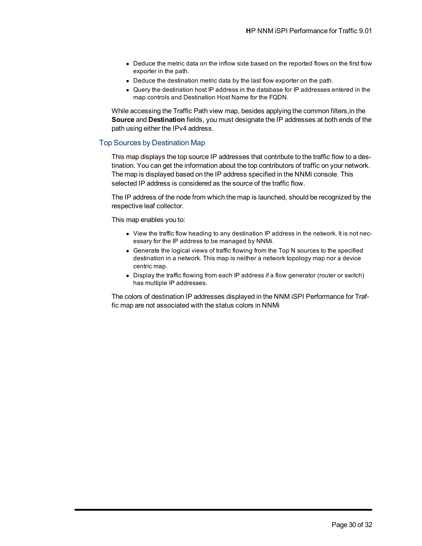- Deduce the metric data on the inflow side based on the reported flows on the first flow exporter in the path.
- Deduce the destination metric data by the last flow exporter on the path.
- Query the destination host IP address in the database for IP addresses entered in the map controls and Destination Host Name for the FQDN.

While accessing the Traffic Path view map, besides applying the common filters,in the **Source** and **Destination** fields, you must designate the IP addresses at both ends of the path using either the IPv4 address.

#### <span id="page-29-0"></span>Top Sources by Destination Map

This map displays the top source IP addresses that contribute to the traffic flow to a destination. You can get the information about the top contributors of traffic on your network. The map is displayed based on the IP address specified in the NNMi console. This selected IP address is considered as the source of the traffic flow.

The IP address of the node from which the map is launched, should be recognized by the respective leaf collector.

This map enables you to:

- View the traffic flow heading to any destination IP address in the network. It is not necessary for the IP address to be managed by NNMi.
- Generate the logical views of traffic flowing from the Top N sources to the specified destination in a network. This map is neither a network topology map nor a device centric map.
- Display the traffic flowing from each IP address if a flow generator (router or switch) has multiple IP addresses.

The colors of destination IP addresses displayed in the NNM iSPI Performance for Traffic map are not associated with the status colors in NNMi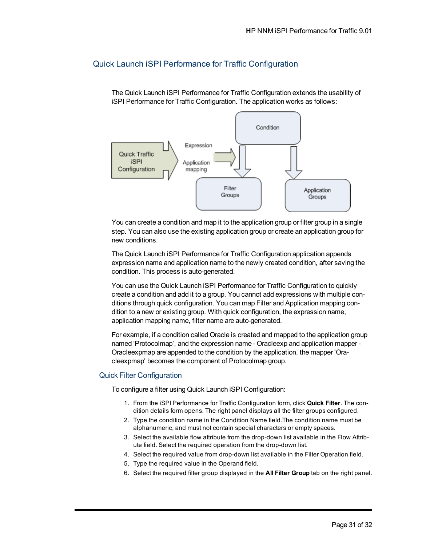## <span id="page-30-0"></span>Quick Launch iSPI Performance for Traffic Configuration

The Quick Launch iSPI Performance for Traffic Configuration extends the usability of iSPI Performance for Traffic Configuration. The application works as follows:



You can create a condition and map it to the application group or filter group in a single step. You can also use the existing application group or create an application group for new conditions.

The Quick Launch iSPI Performance for Traffic Configuration application appends expression name and application name to the newly created condition, after saving the condition. This process is auto-generated.

You can use the Quick Launch iSPI Performance for Traffic Configuration to quickly create a condition and add it to a group. You cannot add expressions with multiple conditions through quick configuration. You can map Filter and Application mapping condition to a new or existing group. With quick configuration, the expression name, application mapping name, filter name are auto-generated.

For example, if a condition called Oracle is created and mapped to the application group named 'Protocolmap', and the expression name - Oracleexp and application mapper - Oracleexpmap are appended to the condition by the application. the mapper 'Oracleexpmap' becomes the component of Protocolmap group.

## <span id="page-30-1"></span>Quick Filter Configuration

To configure a filter using Quick Launch iSPI Configuration:

- 1. From the iSPI Performance for Traffic Configuration form, click **Quick Filter**. The condition details form opens. The right panel displays all the filter groups configured.
- 2. Type the condition name in the Condition Name field.The condition name must be alphanumeric, and must not contain special characters or empty spaces.
- 3. Select the available flow attribute from the drop-down list available in the Flow Attribute field. Select the required operation from the drop-down list.
- 4. Select the required value from drop-down list available in the Filter Operation field.
- 5. Type the required value in the Operand field.
- 6. Select the required filter group displayed in the **All Filter Group** tab on the right panel.